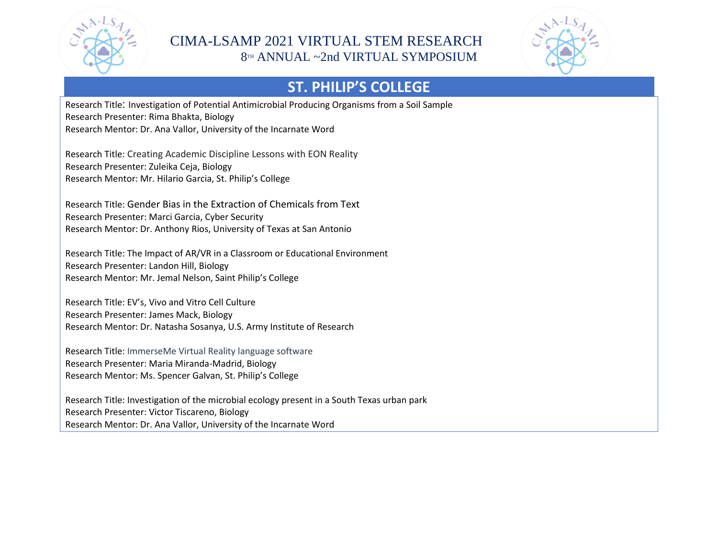

#### CIMA-LSAMP 2021 VIRTUAL STEM RESEARCH 8TH ANNUAL ~2nd VIRTUAL SYMPOSIUM



## **ST. PHILIP'S COLLEGE**

Research Title: Investigation of Potential Antimicrobial Producing Organisms from a Soil Sample Research Presenter: Rima Bhakta, Biology Research Mentor: Dr. Ana Vallor, University of the Incarnate Word

Research Title: Creating Academic Discipline Lessons with EON Reality Research Presenter: Zuleika Ceja, Biology Research Mentor: Mr. Hilario Garcia, St. Philip's College

Research Title: Gender Bias in the Extraction of Chemicals from Text Research Presenter: Marci Garcia, Cyber Security Research Mentor: Dr. Anthony Rios, University of Texas at San Antonio

Research Title: The Impact of AR/VR in a Classroom or Educational Environment Research Presenter: Landon Hill, Biology Research Mentor: Mr. Jemal Nelson, Saint Philip's College

Research Title: EV's, Vivo and Vitro Cell Culture Research Presenter: James Mack, Biology Research Mentor: Dr. Natasha Sosanya, U.S. Army Institute of Research

Research Title: ImmerseMe Virtual Reality language software Research Presenter: Maria Miranda-Madrid, Biology Research Mentor: Ms. Spencer Galvan, St. Philip's College

Research Title: Investigation of the microbial ecology present in a South Texas urban park Research Presenter: Victor Tiscareno, Biology Research Mentor: Dr. Ana Vallor, University of the Incarnate Word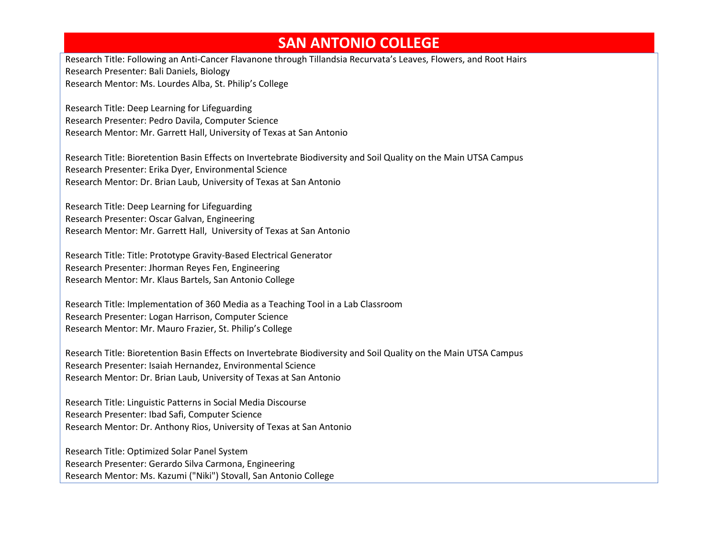#### **SAN ANTONIO COLLEGE**

Research Title: Following an Anti-Cancer Flavanone through Tillandsia Recurvata's Leaves, Flowers, and Root Hairs Research Presenter: Bali Daniels, Biology Research Mentor: Ms. Lourdes Alba, St. Philip's College

Research Title: Deep Learning for Lifeguarding Research Presenter: Pedro Davila, Computer Science Research Mentor: Mr. Garrett Hall, University of Texas at San Antonio

Research Title: Bioretention Basin Effects on Invertebrate Biodiversity and Soil Quality on the Main UTSA Campus Research Presenter: Erika Dyer, Environmental Science Research Mentor: Dr. Brian Laub, University of Texas at San Antonio

Research Title: Deep Learning for Lifeguarding Research Presenter: Oscar Galvan, Engineering Research Mentor: Mr. Garrett Hall, University of Texas at San Antonio

Research Title: Title: Prototype Gravity-Based Electrical Generator Research Presenter: Jhorman Reyes Fen, Engineering Research Mentor: Mr. Klaus Bartels, San Antonio College

Research Title: Implementation of 360 Media as a Teaching Tool in a Lab Classroom Research Presenter: Logan Harrison, Computer Science Research Mentor: Mr. Mauro Frazier, St. Philip's College

Research Title: Bioretention Basin Effects on Invertebrate Biodiversity and Soil Quality on the Main UTSA Campus Research Presenter: Isaiah Hernandez, Environmental Science Research Mentor: Dr. Brian Laub, University of Texas at San Antonio

Research Title: Linguistic Patterns in Social Media Discourse Research Presenter: Ibad Safi, Computer Science Research Mentor: Dr. Anthony Rios, University of Texas at San Antonio

Research Title: Optimized Solar Panel System Research Presenter: Gerardo Silva Carmona, Engineering Research Mentor: Ms. Kazumi ("Niki") Stovall, San Antonio College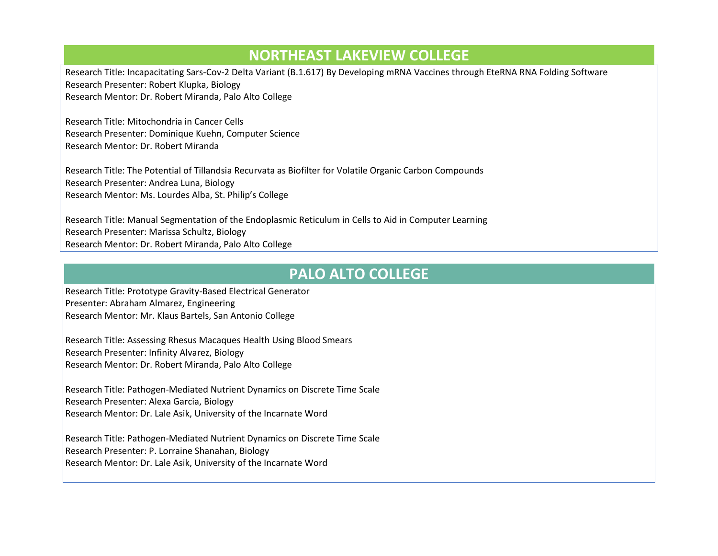#### **NORTHEAST LAKEVIEW COLLEGE**

Research Title: Incapacitating Sars-Cov-2 Delta Variant (B.1.617) By Developing mRNA Vaccines through EteRNA RNA Folding Software Research Presenter: Robert Klupka, Biology Research Mentor: Dr. Robert Miranda, Palo Alto College

Research Title: Mitochondria in Cancer Cells Research Presenter: Dominique Kuehn, Computer Science Research Mentor: Dr. Robert Miranda

Research Title: The Potential of Tillandsia Recurvata as Biofilter for Volatile Organic Carbon Compounds Research Presenter: Andrea Luna, Biology Research Mentor: Ms. Lourdes Alba, St. Philip's College

Research Title: Manual Segmentation of the Endoplasmic Reticulum in Cells to Aid in Computer Learning Research Presenter: Marissa Schultz, Biology Research Mentor: Dr. Robert Miranda, Palo Alto College

### **PALO ALTO COLLEGE**

Research Title: Prototype Gravity-Based Electrical Generator Presenter: Abraham Almarez, Engineering Research Mentor: Mr. Klaus Bartels, San Antonio College

Research Title: Assessing Rhesus Macaques Health Using Blood Smears Research Presenter: Infinity Alvarez, Biology Research Mentor: Dr. Robert Miranda, Palo Alto College

Research Title: Pathogen-Mediated Nutrient Dynamics on Discrete Time Scale Research Presenter: Alexa Garcia, Biology Research Mentor: Dr. Lale Asik, University of the Incarnate Word

Research Title: Pathogen-Mediated Nutrient Dynamics on Discrete Time Scale Research Presenter: P. Lorraine Shanahan, Biology Research Mentor: Dr. Lale Asik, University of the Incarnate Word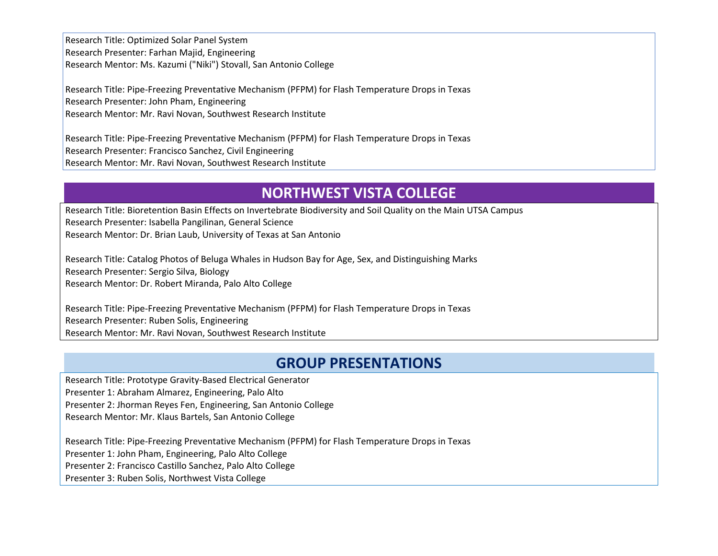Research Title: Optimized Solar Panel System Research Presenter: Farhan Majid, Engineering Research Mentor: Ms. Kazumi ("Niki") Stovall, San Antonio College

Research Title: Pipe-Freezing Preventative Mechanism (PFPM) for Flash Temperature Drops in Texas Research Presenter: John Pham, Engineering Research Mentor: Mr. Ravi Novan, Southwest Research Institute

Research Title: Pipe-Freezing Preventative Mechanism (PFPM) for Flash Temperature Drops in Texas Research Presenter: Francisco Sanchez, Civil Engineering Research Mentor: Mr. Ravi Novan, Southwest Research Institute

## **NORTHWEST VISTA COLLEGE**

Research Title: Bioretention Basin Effects on Invertebrate Biodiversity and Soil Quality on the Main UTSA Campus Research Presenter: Isabella Pangilinan, General Science Research Mentor: Dr. Brian Laub, University of Texas at San Antonio

Research Title: Catalog Photos of Beluga Whales in Hudson Bay for Age, Sex, and Distinguishing Marks Research Presenter: Sergio Silva, Biology Research Mentor: Dr. Robert Miranda, Palo Alto College

Research Title: Pipe-Freezing Preventative Mechanism (PFPM) for Flash Temperature Drops in Texas Research Presenter: Ruben Solis, Engineering Research Mentor: Mr. Ravi Novan, Southwest Research Institute

### **GROUP PRESENTATIONS**

Research Title: Prototype Gravity-Based Electrical Generator Presenter 1: Abraham Almarez, Engineering, Palo Alto Presenter 2: Jhorman Reyes Fen, Engineering, San Antonio College Research Mentor: Mr. Klaus Bartels, San Antonio College

Research Title: Pipe-Freezing Preventative Mechanism (PFPM) for Flash Temperature Drops in Texas Presenter 1: John Pham, Engineering, Palo Alto College Presenter 2: Francisco Castillo Sanchez, Palo Alto College Presenter 3: Ruben Solis, Northwest Vista College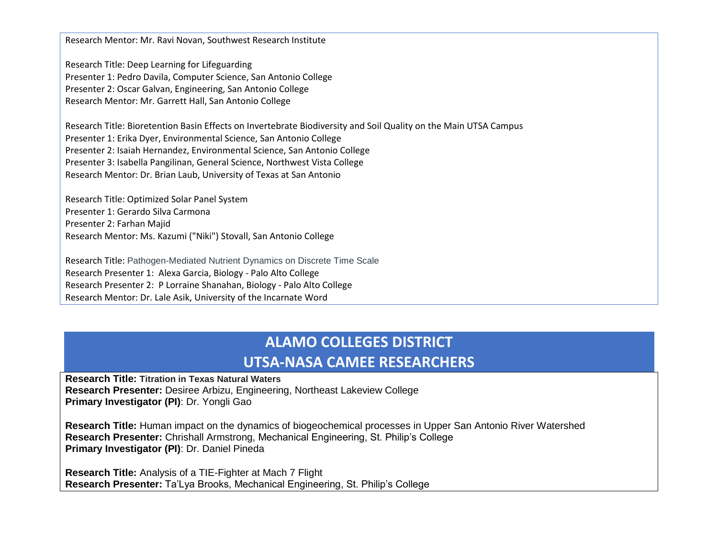Research Mentor: Mr. Ravi Novan, Southwest Research Institute

Research Title: Deep Learning for Lifeguarding Presenter 1: Pedro Davila, Computer Science, San Antonio College Presenter 2: Oscar Galvan, Engineering, San Antonio College Research Mentor: Mr. Garrett Hall, San Antonio College

Research Title: Bioretention Basin Effects on Invertebrate Biodiversity and Soil Quality on the Main UTSA Campus Presenter 1: Erika Dyer, Environmental Science, San Antonio College Presenter 2: Isaiah Hernandez, Environmental Science, San Antonio College Presenter 3: Isabella Pangilinan, General Science, Northwest Vista College Research Mentor: Dr. Brian Laub, University of Texas at San Antonio

Research Title: Optimized Solar Panel System Presenter 1: Gerardo Silva Carmona Presenter 2: Farhan Majid Research Mentor: Ms. Kazumi ("Niki") Stovall, San Antonio College

Research Title: Pathogen-Mediated Nutrient Dynamics on Discrete Time Scale Research Presenter 1: Alexa Garcia, Biology - Palo Alto College Research Presenter 2: P Lorraine Shanahan, Biology - Palo Alto College Research Mentor: Dr. Lale Asik, University of the Incarnate Word

# **ALAMO COLLEGES DISTRICT**

#### **UTSA-NASA CAMEE RESEARCHERS**

**Research Title: Titration in Texas Natural Waters Research Presenter:** Desiree Arbizu, Engineering, Northeast Lakeview College **Primary Investigator (PI)**: Dr. Yongli Gao

**Research Title:** Human impact on the dynamics of biogeochemical processes in Upper San Antonio River Watershed **Research Presenter:** Chrishall Armstrong, Mechanical Engineering, St. Philip's College **Primary Investigator (PI)**: Dr. Daniel Pineda

**Research Title:** Analysis of a TIE-Fighter at Mach 7 Flight **Research Presenter:** Ta'Lya Brooks, Mechanical Engineering, St. Philip's College